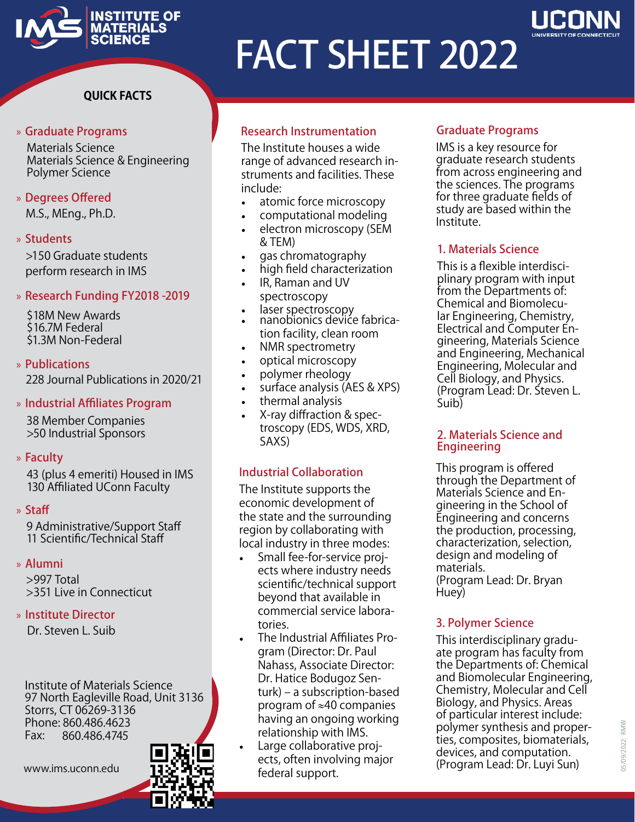

# FACT SHEET 2022

# **Quick Facts**

### » Graduate Programs

Materials Science Materials Science & Engineering Polymer Science

# » Degrees Offered

M.S., MEng., Ph.D.

# » Students

>150 Graduate students perform research in IMS

# » Research Funding FY2018 -2019

\$18M New Awards \$16.7M Federal \$1.3M Non-Federal

### » Publications 228 Journal Publications in 2020/21

# » Industrial Affiliates Program

38 Member Companies >50 Industrial Sponsors

# » Faculty

43 (plus 4 emeriti) Housed in IMS 130 Affiliated UConn Faculty

# » Staff

9 Administrative/Support Staff 11 Scientific/Technical Staff

# » Alumni

>997 Total >351 Live in Connecticut

# » Institute Director

Dr. Steven L. Suib

Institute of Materials Science 97 North Eagleville Road, Unit 3136 Storrs, CT 06269-3136 Phone: 860.486.4623<br>Fax: 860.486.4745 Fax: 860.486.4745



# Research Instrumentation

The Institute houses a wide range of advanced research instruments and facilities. These include:

- atomic force microscopy
- computational modeling
- electron microscopy (SEM & TEM)
- gas chromatography
- high field characterization
- IR, Raman and UV spectroscopy
- 
- laser spectroscopy<br>• nanobionics device fabrication facility, clean room
- NMR spectrometry
- optical microscopy
- polymer rheology
- surface analysis (AES & XPS)
- thermal analysis
- X-ray diffraction & spectroscopy (EDS, WDS, XRD, SAXS)

# Industrial Collaboration

The Institute supports the economic development of the state and the surrounding region by collaborating with local industry in three modes:

- Small fee-for-service projects where industry needs scientific/technical support beyond that available in commercial service laboratories.
- The Industrial Affiliates Program (Director: Dr. Paul Nahass, Associate Director: Dr. Hatice Bodugoz Senturk) – a subscription-based program of ≈40 companies having an ongoing working relationship with IMS.
- Large collaborative projects, often involving major federal support. www.ims.uconn.edu **13:2 March Carely Contains Connect** (Program Lead: Dr. Luyi Sun)

# Graduate Programs

IMS is a key resource for graduate research students from across engineering and the sciences. The programs for three graduate fields of study are based within the Institute.

# 1. Materials Science

This is a flexible interdisciplinary program with input from the Departments of: Chemical and Biomolecular Engineering, Chemistry, Electrical and Computer Engineering, Materials Science and Engineering, Mechanical Engineering, Molecular and Cell Biology, and Physics. (Program Lead: Dr. Steven L. Suib)

### 2. Materials Science and Engineering

This program is offered through the Department of Materials Science and Engineering in the School of Engineering and concerns the production, processing, characterization, selection, design and modeling of materials. (Program Lead: Dr. Bryan Huey)

# 3. Polymer Science

This interdisciplinary graduate program has faculty from the Departments of: Chemical and Biomolecular Engineering, Chemistry, Molecular and Cell Biology, and Physics. Areas of particular interest include: polymer synthesis and properties, composites, biomaterials, devices, and computation.